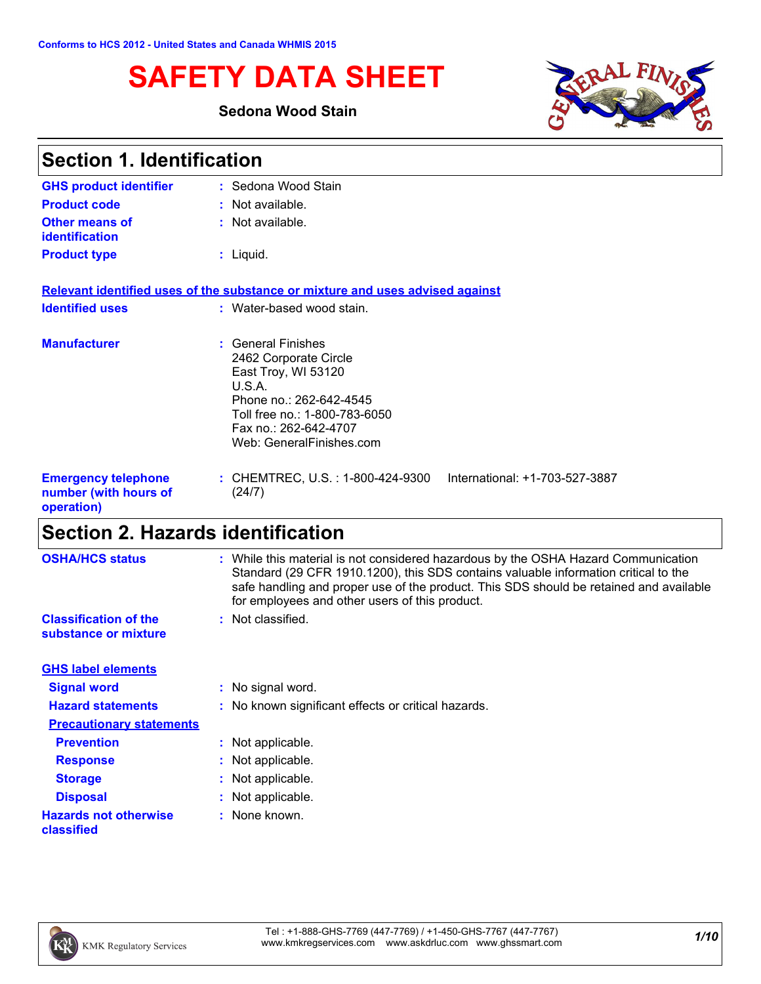# **SAFETY DATA SHEET**

### **Sedona Wood Stain**



| <b>Section 1. Identification</b>                                  |                                                                                                                                                                                               |  |
|-------------------------------------------------------------------|-----------------------------------------------------------------------------------------------------------------------------------------------------------------------------------------------|--|
| <b>GHS product identifier</b>                                     | : Sedona Wood Stain                                                                                                                                                                           |  |
| <b>Product code</b>                                               | : Not available.                                                                                                                                                                              |  |
| <b>Other means of</b><br><b>identification</b>                    | : Not available.                                                                                                                                                                              |  |
| <b>Product type</b>                                               | $:$ Liquid.                                                                                                                                                                                   |  |
|                                                                   | Relevant identified uses of the substance or mixture and uses advised against                                                                                                                 |  |
| <b>Identified uses</b>                                            | : Water-based wood stain.                                                                                                                                                                     |  |
| <b>Manufacturer</b>                                               | : General Finishes<br>2462 Corporate Circle<br>East Troy, WI 53120<br>U.S.A.<br>Phone no.: 262-642-4545<br>Toll free no.: 1-800-783-6050<br>Fax no.: 262-642-4707<br>Web: GeneralFinishes.com |  |
| <b>Emergency telephone</b><br>number (with hours of<br>operation) | : CHEMTREC, U.S. : 1-800-424-9300<br>International: +1-703-527-3887<br>(24/7)                                                                                                                 |  |

# **Section 2. Hazards identification**

| <b>OSHA/HCS status</b>                               | : While this material is not considered hazardous by the OSHA Hazard Communication<br>Standard (29 CFR 1910.1200), this SDS contains valuable information critical to the<br>safe handling and proper use of the product. This SDS should be retained and available |
|------------------------------------------------------|---------------------------------------------------------------------------------------------------------------------------------------------------------------------------------------------------------------------------------------------------------------------|
|                                                      | for employees and other users of this product.                                                                                                                                                                                                                      |
| <b>Classification of the</b><br>substance or mixture | : Not classified.                                                                                                                                                                                                                                                   |
| <b>GHS label elements</b>                            |                                                                                                                                                                                                                                                                     |
| <b>Signal word</b>                                   | : No signal word.                                                                                                                                                                                                                                                   |
| <b>Hazard statements</b>                             | : No known significant effects or critical hazards.                                                                                                                                                                                                                 |
| <b>Precautionary statements</b>                      |                                                                                                                                                                                                                                                                     |
| <b>Prevention</b>                                    | : Not applicable.                                                                                                                                                                                                                                                   |
| <b>Response</b>                                      | : Not applicable.                                                                                                                                                                                                                                                   |
| <b>Storage</b>                                       | : Not applicable.                                                                                                                                                                                                                                                   |
| <b>Disposal</b>                                      | : Not applicable.                                                                                                                                                                                                                                                   |
| <b>Hazards not otherwise</b><br>classified           | : None known.                                                                                                                                                                                                                                                       |

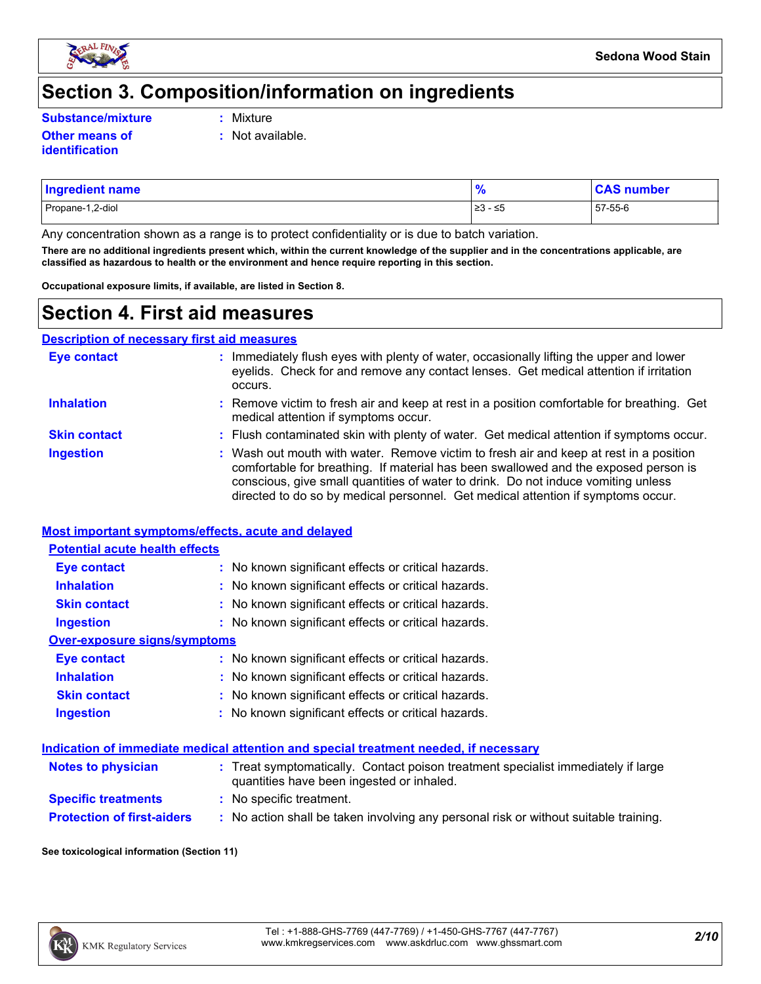

### **Section 3. Composition/information on ingredients**

**Substance/mixture :**

- Mixture
- **Other means of identification**
- **:** Not available.
- Propane-1,2-diol ≥3 ≤5 57-55-6 **Ingredient name % CAS number**

Any concentration shown as a range is to protect confidentiality or is due to batch variation.

**There are no additional ingredients present which, within the current knowledge of the supplier and in the concentrations applicable, are classified as hazardous to health or the environment and hence require reporting in this section.**

**Occupational exposure limits, if available, are listed in Section 8.**

### **Section 4. First aid measures**

**Description of necessary first aid measures**

| <b>Eye contact</b>  | : Immediately flush eyes with plenty of water, occasionally lifting the upper and lower<br>eyelids. Check for and remove any contact lenses. Get medical attention if irritation<br>occurs.                                                                                                                                                            |
|---------------------|--------------------------------------------------------------------------------------------------------------------------------------------------------------------------------------------------------------------------------------------------------------------------------------------------------------------------------------------------------|
| <b>Inhalation</b>   | : Remove victim to fresh air and keep at rest in a position comfortable for breathing. Get<br>medical attention if symptoms occur.                                                                                                                                                                                                                     |
| <b>Skin contact</b> | : Flush contaminated skin with plenty of water. Get medical attention if symptoms occur.                                                                                                                                                                                                                                                               |
| <b>Ingestion</b>    | : Wash out mouth with water. Remove victim to fresh air and keep at rest in a position<br>comfortable for breathing. If material has been swallowed and the exposed person is<br>conscious, give small quantities of water to drink. Do not induce vomiting unless<br>directed to do so by medical personnel. Get medical attention if symptoms occur. |

#### **Most important symptoms/effects, acute and delayed**

| <b>Potential acute health effects</b> |                                                     |  |  |  |  |
|---------------------------------------|-----------------------------------------------------|--|--|--|--|
| Eye contact                           | : No known significant effects or critical hazards. |  |  |  |  |
| <b>Inhalation</b>                     | : No known significant effects or critical hazards. |  |  |  |  |
| <b>Skin contact</b>                   | : No known significant effects or critical hazards. |  |  |  |  |
| <b>Ingestion</b>                      | : No known significant effects or critical hazards. |  |  |  |  |
| Over-exposure signs/symptoms          |                                                     |  |  |  |  |
| Eye contact                           | : No known significant effects or critical hazards. |  |  |  |  |
| <b>Inhalation</b>                     | : No known significant effects or critical hazards. |  |  |  |  |
| <b>Skin contact</b>                   | : No known significant effects or critical hazards. |  |  |  |  |
| <b>Ingestion</b>                      | : No known significant effects or critical hazards. |  |  |  |  |

#### **Indication of immediate medical attention and special treatment needed, if necessary**

| <b>Notes to physician</b>         | : Treat symptomatically. Contact poison treatment specialist immediately if large<br>quantities have been ingested or inhaled. |
|-----------------------------------|--------------------------------------------------------------------------------------------------------------------------------|
| <b>Specific treatments</b>        | : No specific treatment.                                                                                                       |
| <b>Protection of first-aiders</b> | No action shall be taken involving any personal risk or without suitable training.                                             |

#### **See toxicological information (Section 11)**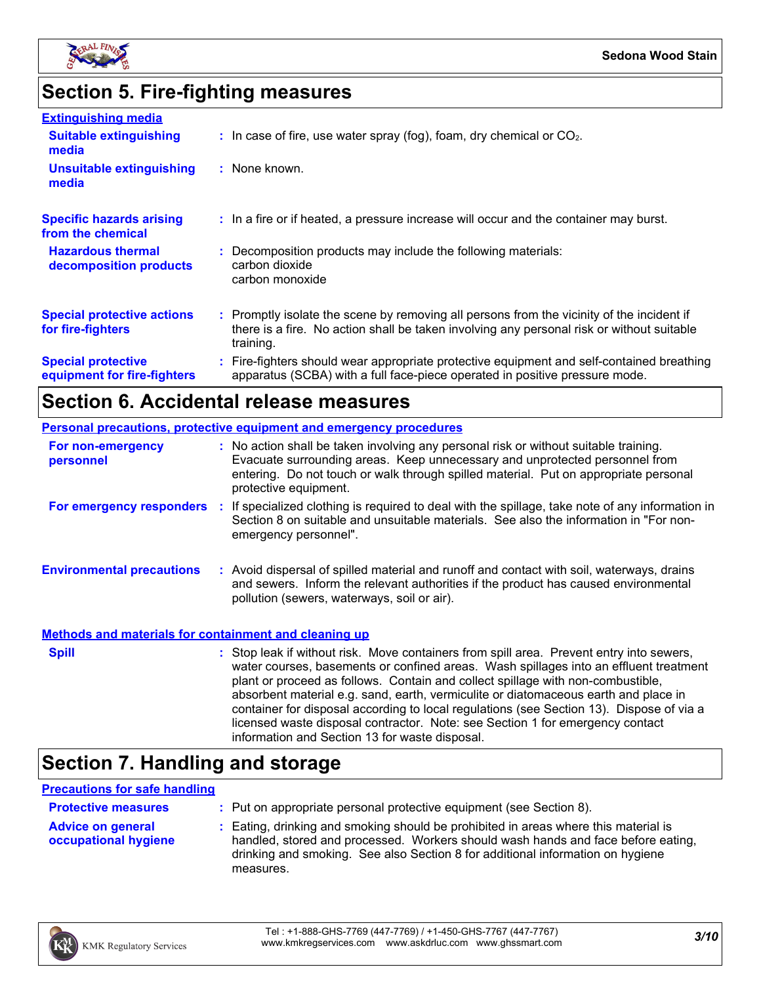

# **Section 5. Fire-fighting measures**

| <b>Extinguishing media</b>                               |                                                                                                                                                                                                     |
|----------------------------------------------------------|-----------------------------------------------------------------------------------------------------------------------------------------------------------------------------------------------------|
| <b>Suitable extinguishing</b><br>media                   | $\therefore$ In case of fire, use water spray (fog), foam, dry chemical or CO <sub>2</sub> .                                                                                                        |
| <b>Unsuitable extinguishing</b><br>media                 | : None known.                                                                                                                                                                                       |
| <b>Specific hazards arising</b><br>from the chemical     | : In a fire or if heated, a pressure increase will occur and the container may burst.                                                                                                               |
| <b>Hazardous thermal</b><br>decomposition products       | : Decomposition products may include the following materials:<br>carbon dioxide<br>carbon monoxide                                                                                                  |
| <b>Special protective actions</b><br>for fire-fighters   | : Promptly isolate the scene by removing all persons from the vicinity of the incident if<br>there is a fire. No action shall be taken involving any personal risk or without suitable<br>training. |
| <b>Special protective</b><br>equipment for fire-fighters | : Fire-fighters should wear appropriate protective equipment and self-contained breathing<br>apparatus (SCBA) with a full face-piece operated in positive pressure mode.                            |

### **Section 6. Accidental release measures**

| <b>Personal precautions, protective equipment and emergency procedures</b> |  |                                                                                                                                                                                                                                                                                                                                                                                                                                                                                                                                                                                            |
|----------------------------------------------------------------------------|--|--------------------------------------------------------------------------------------------------------------------------------------------------------------------------------------------------------------------------------------------------------------------------------------------------------------------------------------------------------------------------------------------------------------------------------------------------------------------------------------------------------------------------------------------------------------------------------------------|
| For non-emergency<br>personnel                                             |  | : No action shall be taken involving any personal risk or without suitable training.<br>Evacuate surrounding areas. Keep unnecessary and unprotected personnel from<br>entering. Do not touch or walk through spilled material. Put on appropriate personal<br>protective equipment.                                                                                                                                                                                                                                                                                                       |
| For emergency responders :                                                 |  | If specialized clothing is required to deal with the spillage, take note of any information in<br>Section 8 on suitable and unsuitable materials. See also the information in "For non-<br>emergency personnel".                                                                                                                                                                                                                                                                                                                                                                           |
| <b>Environmental precautions</b>                                           |  | : Avoid dispersal of spilled material and runoff and contact with soil, waterways, drains<br>and sewers. Inform the relevant authorities if the product has caused environmental<br>pollution (sewers, waterways, soil or air).                                                                                                                                                                                                                                                                                                                                                            |
| <b>Methods and materials for containment and cleaning up</b>               |  |                                                                                                                                                                                                                                                                                                                                                                                                                                                                                                                                                                                            |
| <b>Spill</b>                                                               |  | : Stop leak if without risk. Move containers from spill area. Prevent entry into sewers,<br>water courses, basements or confined areas. Wash spillages into an effluent treatment<br>plant or proceed as follows. Contain and collect spillage with non-combustible,<br>absorbent material e.g. sand, earth, vermiculite or diatomaceous earth and place in<br>container for disposal according to local regulations (see Section 13). Dispose of via a<br>licensed waste disposal contractor. Note: see Section 1 for emergency contact<br>information and Section 13 for waste disposal. |

## **Section 7. Handling and storage**

#### **Precautions for safe handling**

| <b>Protective measures</b>                       | : Put on appropriate personal protective equipment (see Section 8).                                                                                                                                                                                                    |
|--------------------------------------------------|------------------------------------------------------------------------------------------------------------------------------------------------------------------------------------------------------------------------------------------------------------------------|
| <b>Advice on general</b><br>occupational hygiene | : Eating, drinking and smoking should be prohibited in areas where this material is<br>handled, stored and processed. Workers should wash hands and face before eating,<br>drinking and smoking. See also Section 8 for additional information on hygiene<br>measures. |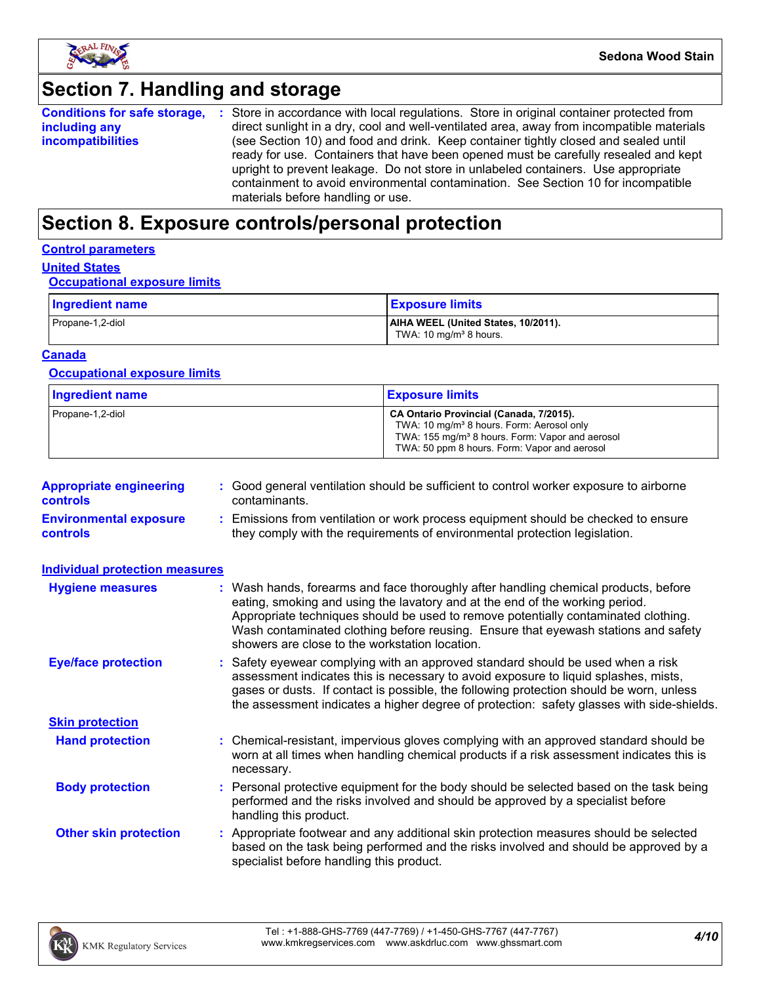

# **Section 7. Handling and storage**

| <b>Conditions for safe storage,</b> | : Store in accordance with local regulations. Store in original container protected from  |
|-------------------------------------|-------------------------------------------------------------------------------------------|
| including any                       | direct sunlight in a dry, cool and well-ventilated area, away from incompatible materials |
| <i>incompatibilities</i>            | (see Section 10) and food and drink. Keep container tightly closed and sealed until       |
|                                     | ready for use. Containers that have been opened must be carefully resealed and kept       |
|                                     | upright to prevent leakage. Do not store in unlabeled containers. Use appropriate         |
|                                     | containment to avoid environmental contamination. See Section 10 for incompatible         |
|                                     | materials before handling or use.                                                         |

## **Section 8. Exposure controls/personal protection**

#### **Control parameters**

#### **United States**

#### **Occupational exposure limits**

| Ingredient name  | <b>Exposure limits</b>                                                    |
|------------------|---------------------------------------------------------------------------|
| Propane-1,2-diol | AIHA WEEL (United States, 10/2011).<br>TWA: 10 mg/m <sup>3</sup> 8 hours. |

#### **Canada**

#### **Occupational exposure limits**

| <b>Ingredient name</b> | <b>Exposure limits</b>                                                                                                                                                                                          |
|------------------------|-----------------------------------------------------------------------------------------------------------------------------------------------------------------------------------------------------------------|
| Propane-1,2-diol       | CA Ontario Provincial (Canada, 7/2015).<br>TWA: 10 mg/m <sup>3</sup> 8 hours. Form: Aerosol only<br>TWA: 155 mg/m <sup>3</sup> 8 hours. Form: Vapor and aerosol<br>TWA: 50 ppm 8 hours. Form: Vapor and aerosol |

| <b>Appropriate engineering</b><br><b>controls</b> | : Good general ventilation should be sufficient to control worker exposure to airborne<br>contaminants.                                                          |
|---------------------------------------------------|------------------------------------------------------------------------------------------------------------------------------------------------------------------|
| <b>Environmental exposure</b><br><b>controls</b>  | : Emissions from ventilation or work process equipment should be checked to ensure<br>they comply with the requirements of environmental protection legislation. |

| <b>Individual protection measures</b> |                                                                                                                                                                                                                                                                                                                                                                                                   |
|---------------------------------------|---------------------------------------------------------------------------------------------------------------------------------------------------------------------------------------------------------------------------------------------------------------------------------------------------------------------------------------------------------------------------------------------------|
| <b>Hygiene measures</b>               | : Wash hands, forearms and face thoroughly after handling chemical products, before<br>eating, smoking and using the lavatory and at the end of the working period.<br>Appropriate techniques should be used to remove potentially contaminated clothing.<br>Wash contaminated clothing before reusing. Ensure that eyewash stations and safety<br>showers are close to the workstation location. |
| <b>Eye/face protection</b>            | : Safety eyewear complying with an approved standard should be used when a risk<br>assessment indicates this is necessary to avoid exposure to liquid splashes, mists,<br>gases or dusts. If contact is possible, the following protection should be worn, unless<br>the assessment indicates a higher degree of protection: safety glasses with side-shields.                                    |
| <b>Skin protection</b>                |                                                                                                                                                                                                                                                                                                                                                                                                   |
| <b>Hand protection</b>                | : Chemical-resistant, impervious gloves complying with an approved standard should be<br>worn at all times when handling chemical products if a risk assessment indicates this is<br>necessary.                                                                                                                                                                                                   |
| <b>Body protection</b>                | : Personal protective equipment for the body should be selected based on the task being<br>performed and the risks involved and should be approved by a specialist before<br>handling this product.                                                                                                                                                                                               |
| <b>Other skin protection</b>          | : Appropriate footwear and any additional skin protection measures should be selected<br>based on the task being performed and the risks involved and should be approved by a<br>specialist before handling this product.                                                                                                                                                                         |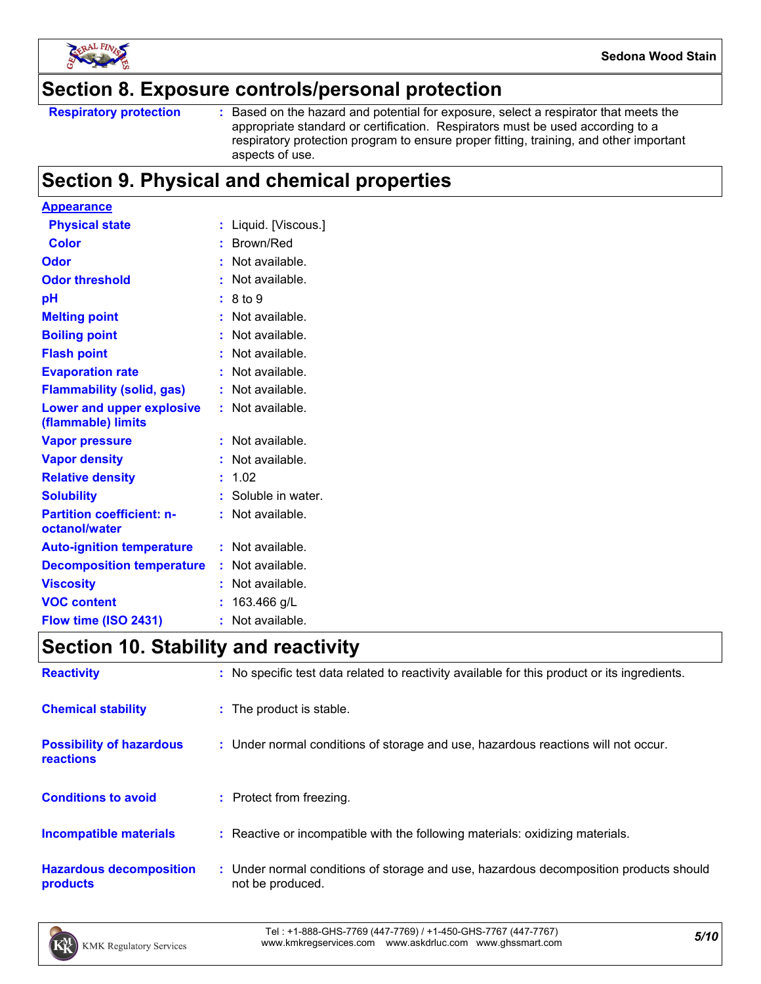

### **Section 8. Exposure controls/personal protection**

Based on the hazard and potential for exposure, select a respirator that meets the appropriate standard or certification. Respirators must be used according to a respiratory protection program to ensure proper fitting, training, and other important aspects of use.

### **Section 9. Physical and chemical properties**

| <u>Appearance</u>                                 |    |                    |
|---------------------------------------------------|----|--------------------|
| <b>Physical state</b>                             | t. | Liquid. [Viscous.] |
| <b>Color</b>                                      |    | : Brown/Red        |
| <b>Odor</b>                                       |    | Not available.     |
| <b>Odor threshold</b>                             |    | Not available.     |
| рH                                                |    | 8 to 9             |
| <b>Melting point</b>                              |    | Not available.     |
| <b>Boiling point</b>                              | t. | Not available.     |
| <b>Flash point</b>                                | t. | Not available.     |
| <b>Evaporation rate</b>                           |    | Not available.     |
| <b>Flammability (solid, gas)</b>                  |    | Not available.     |
| Lower and upper explosive<br>(flammable) limits   |    | : Not available.   |
| <b>Vapor pressure</b>                             |    | Not available.     |
| <b>Vapor density</b>                              |    | Not available.     |
| <b>Relative density</b>                           | t. | 1.02               |
| <b>Solubility</b>                                 |    | Soluble in water.  |
| <b>Partition coefficient: n-</b><br>octanol/water |    | Not available.     |
| <b>Auto-ignition temperature</b>                  |    | $:$ Not available. |
| <b>Decomposition temperature</b>                  |    | Not available.     |
| <b>Viscosity</b>                                  |    | Not available.     |
| <b>VOC content</b>                                | t. | 163.466 g/L        |
| Flow time (ISO 2431)                              | ٠  | Not available.     |

### **Section 10. Stability and reactivity**

| <b>Reactivity</b>                            | : No specific test data related to reactivity available for this product or its ingredients.              |
|----------------------------------------------|-----------------------------------------------------------------------------------------------------------|
| <b>Chemical stability</b>                    | : The product is stable.                                                                                  |
| <b>Possibility of hazardous</b><br>reactions | : Under normal conditions of storage and use, hazardous reactions will not occur.                         |
| <b>Conditions to avoid</b>                   | : Protect from freezing.                                                                                  |
| <b>Incompatible materials</b>                | : Reactive or incompatible with the following materials: oxidizing materials.                             |
| <b>Hazardous decomposition</b><br>products   | : Under normal conditions of storage and use, hazardous decomposition products should<br>not be produced. |

*5/10* Tel : +1-888-GHS-7769 (447-7769) / +1-450-GHS-7767 (447-7767) www.kmkregservices.com www.askdrluc.com www.ghssmart.com

**Respiratory protection :**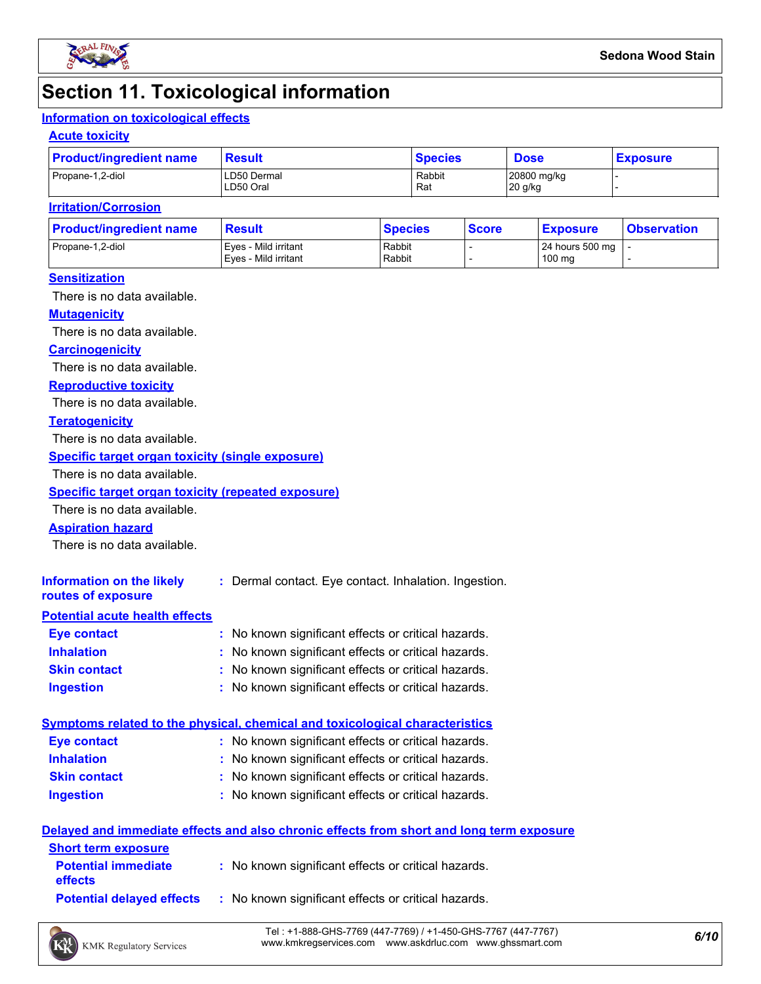

### **Section 11. Toxicological information**

### **Information on toxicological effects**

#### **Acute toxicity**

| <b>Product/ingredient name</b> | <b>Result</b>            | <b>Species</b> | <b>Dose</b>            | <b>Exposure</b> |
|--------------------------------|--------------------------|----------------|------------------------|-----------------|
| Propane-1,2-diol               | LD50 Dermal<br>LD50 Oral | Rabbit<br>Rat  | 20800 mg/kg<br>20 g/kg |                 |

#### **Irritation/Corrosion**

| <b>Product/ingredient name</b> | <b>Result</b>                                | <b>Species</b>   | <b>Score</b> | <u>  Exposure</u>         | <b>Observation</b> |
|--------------------------------|----------------------------------------------|------------------|--------------|---------------------------|--------------------|
| Propane-1,2-diol               | Eves - Mild irritant<br>Eves - Mild irritant | Rabbit<br>Rabbit |              | 24 hours 500 mg<br>100 mg |                    |
|                                |                                              |                  |              |                           |                    |

#### **Sensitization**

There is no data available.

#### **Mutagenicity**

There is no data available.

#### **Carcinogenicity**

There is no data available.

#### **Reproductive toxicity**

There is no data available.

#### **Teratogenicity**

There is no data available.

#### **Specific target organ toxicity (single exposure)**

There is no data available.

#### **Specific target organ toxicity (repeated exposure)**

There is no data available.

#### **Aspiration hazard**

There is no data available.

| Information on the likely<br>routes of exposure | : Dermal contact. Eye contact. Inhalation. Ingestion. |
|-------------------------------------------------|-------------------------------------------------------|
| <b>Potential acute health effects</b>           |                                                       |
| <b>Eye contact</b>                              | : No known significant effects or critical hazards.   |
| <b>Inhalation</b>                               | : No known significant effects or critical hazards.   |
| <b>Skin contact</b>                             | : No known significant effects or critical hazards.   |

#### **Ingestion :** No known significant effects or critical hazards.

|                     | Symptoms related to the physical, chemical and toxicological characteristics |
|---------------------|------------------------------------------------------------------------------|
| <b>Eve contact</b>  | : No known significant effects or critical hazards.                          |
| <b>Inhalation</b>   | : No known significant effects or critical hazards.                          |
| <b>Skin contact</b> | : No known significant effects or critical hazards.                          |

#### **Ingestion** No known significant effects or critical hazards. **:**

#### **Delayed and immediate effects and also chronic effects from short and long term exposure**

| <b>Short term exposure</b>                   |                                                                                      |
|----------------------------------------------|--------------------------------------------------------------------------------------|
| <b>Potential immediate</b><br><b>effects</b> | : No known significant effects or critical hazards.                                  |
|                                              | <b>Potential delayed effects</b> : No known significant effects or critical hazards. |

*6/10* Tel : +1-888-GHS-7769 (447-7769) / +1-450-GHS-7767 (447-7767) www.kmkregservices.com www.askdrluc.com www.ghssmart.com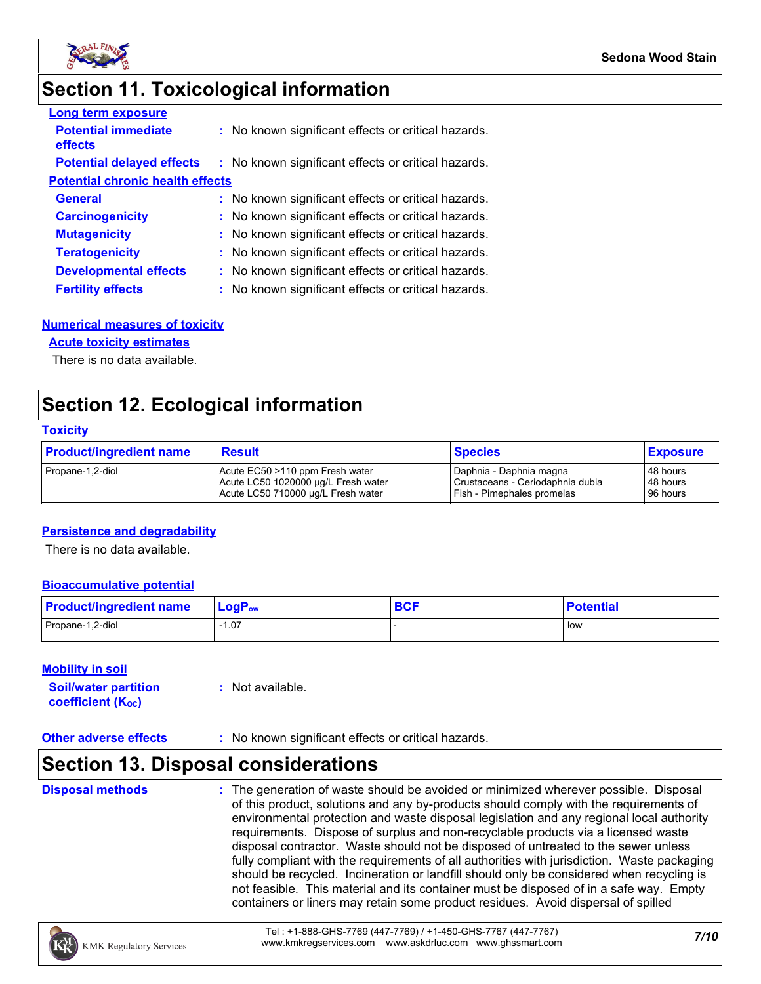

### **Section 11. Toxicological information**

| <b>Long term exposure</b>               |                                                     |
|-----------------------------------------|-----------------------------------------------------|
| <b>Potential immediate</b><br>effects   | : No known significant effects or critical hazards. |
| <b>Potential delayed effects</b>        | : No known significant effects or critical hazards. |
| <b>Potential chronic health effects</b> |                                                     |
| <b>General</b>                          | : No known significant effects or critical hazards. |
| <b>Carcinogenicity</b>                  | : No known significant effects or critical hazards. |
| <b>Mutagenicity</b>                     | : No known significant effects or critical hazards. |
| <b>Teratogenicity</b>                   | : No known significant effects or critical hazards. |
| <b>Developmental effects</b>            | : No known significant effects or critical hazards. |
| <b>Fertility effects</b>                | : No known significant effects or critical hazards. |

#### **Numerical measures of toxicity**

#### **Acute toxicity estimates**

There is no data available.

### **Section 12. Ecological information**

#### **Toxicity**

| <b>Product/ingredient name</b> | <b>Result</b>                       | <b>Species</b>                   | <b>Exposure</b> |
|--------------------------------|-------------------------------------|----------------------------------|-----------------|
| Propane-1,2-diol               | Acute EC50 >110 ppm Fresh water     | Daphnia - Daphnia magna          | 48 hours        |
|                                | Acute LC50 1020000 µg/L Fresh water | Crustaceans - Ceriodaphnia dubia | 48 hours        |
|                                | Acute LC50 710000 ug/L Fresh water  | Fish - Pimephales promelas       | 96 hours        |

#### **Persistence and degradability**

There is no data available.

#### **Bioaccumulative potential**

| <b>Product/ingredient name</b> | $LogPow$ | <b>DAC</b><br><b>DUI</b> | <b>Potential</b> |
|--------------------------------|----------|--------------------------|------------------|
| Propane-1,2-diol               | 07، ا    |                          | l low            |

#### **Mobility in soil**

| <b>Soil/water partition</b> | $:$ Not available. |
|-----------------------------|--------------------|
| <b>coefficient (Koc)</b>    |                    |

#### **Other adverse effects** : No known significant effects or critical hazards.

### **Section 13. Disposal considerations**

**Disposal methods :**

The generation of waste should be avoided or minimized wherever possible. Disposal of this product, solutions and any by-products should comply with the requirements of environmental protection and waste disposal legislation and any regional local authority requirements. Dispose of surplus and non-recyclable products via a licensed waste disposal contractor. Waste should not be disposed of untreated to the sewer unless fully compliant with the requirements of all authorities with jurisdiction. Waste packaging should be recycled. Incineration or landfill should only be considered when recycling is not feasible. This material and its container must be disposed of in a safe way. Empty containers or liners may retain some product residues. Avoid dispersal of spilled

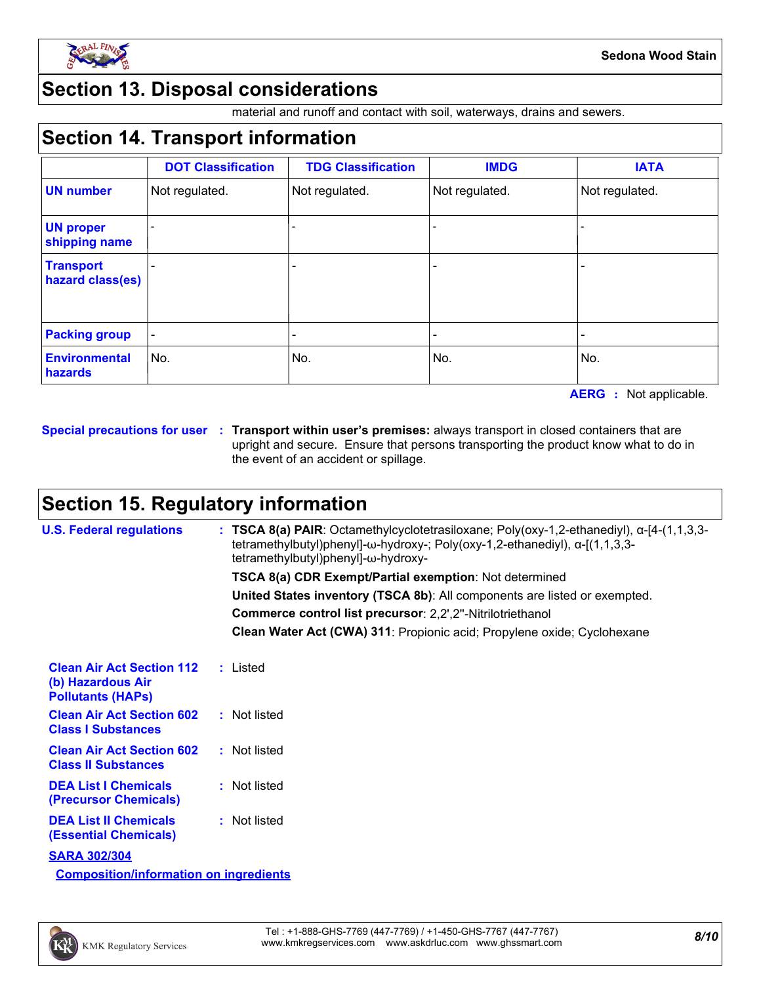

### **Section 13. Disposal considerations**

material and runoff and contact with soil, waterways, drains and sewers.

### **Section 14. Transport information**

|                                      | <b>DOT Classification</b> | <b>TDG Classification</b> | <b>IMDG</b>    | <b>IATA</b>    |
|--------------------------------------|---------------------------|---------------------------|----------------|----------------|
| <b>UN number</b>                     | Not regulated.            | Not regulated.            | Not regulated. | Not regulated. |
| <b>UN proper</b><br>shipping name    |                           |                           |                |                |
| <b>Transport</b><br>hazard class(es) |                           | -                         |                |                |
| <b>Packing group</b>                 |                           |                           |                |                |
| <b>Environmental</b><br>hazards      | No.                       | No.                       | No.            | No.            |

**AERG :** Not applicable.

**Special precautions for user Transport within user's premises:** always transport in closed containers that are **:** upright and secure. Ensure that persons transporting the product know what to do in the event of an accident or spillage.

### **Section 15. Regulatory information**

| <b>U.S. Federal regulations</b>                                                   | : TSCA 8(a) PAIR: Octamethylcyclotetrasiloxane; Poly(oxy-1,2-ethanediyl), $\alpha$ -[4-(1,1,3,3-<br>tetramethylbutyl)phenyl]- $\omega$ -hydroxy-; Poly(oxy-1,2-ethanediyl), $\alpha$ -[(1,1,3,3-<br>tetramethylbutyl)phenyl]-ω-hydroxy- |
|-----------------------------------------------------------------------------------|-----------------------------------------------------------------------------------------------------------------------------------------------------------------------------------------------------------------------------------------|
|                                                                                   | TSCA 8(a) CDR Exempt/Partial exemption: Not determined                                                                                                                                                                                  |
|                                                                                   | United States inventory (TSCA 8b): All components are listed or exempted.                                                                                                                                                               |
|                                                                                   | Commerce control list precursor: 2,2',2"-Nitrilotriethanol                                                                                                                                                                              |
|                                                                                   | Clean Water Act (CWA) 311: Propionic acid; Propylene oxide; Cyclohexane                                                                                                                                                                 |
| <b>Clean Air Act Section 112</b><br>(b) Hazardous Air<br><b>Pollutants (HAPS)</b> | : Listed                                                                                                                                                                                                                                |
| <b>Clean Air Act Section 602</b><br><b>Class I Substances</b>                     | : Not listed                                                                                                                                                                                                                            |
| <b>Clean Air Act Section 602</b><br><b>Class II Substances</b>                    | : Not listed                                                                                                                                                                                                                            |
| <b>DEA List I Chemicals</b><br>(Precursor Chemicals)                              | : Not listed                                                                                                                                                                                                                            |
| <b>DEA List II Chemicals</b><br><b>(Essential Chemicals)</b>                      | : Not listed                                                                                                                                                                                                                            |
| <b>SARA 302/304</b>                                                               |                                                                                                                                                                                                                                         |
| <b>Composition/information on ingredients</b>                                     |                                                                                                                                                                                                                                         |

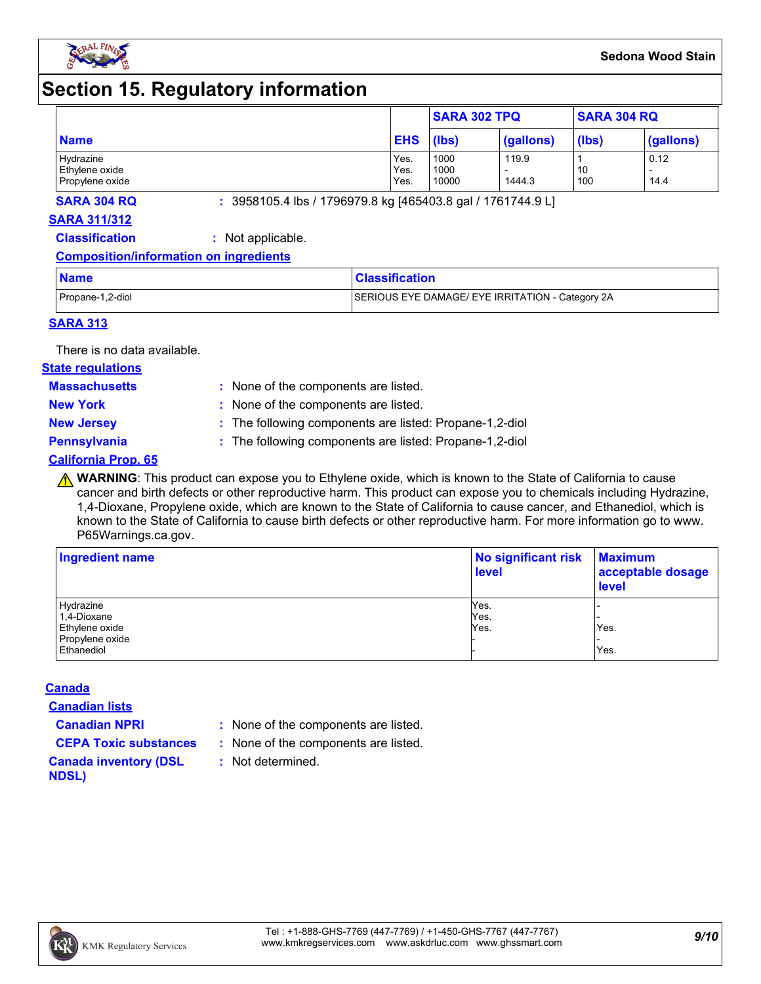

### **Section 15. Regulatory information**

|                             |              | <b>SARA 302 TPQ</b> |           | <b>SARA 304 RQ</b> |           |
|-----------------------------|--------------|---------------------|-----------|--------------------|-----------|
| <b>Name</b>                 | <b>EHS</b>   | (lbs)               | (gallons) | (lbs)              | (gallons) |
| Hydrazine<br>Ethylene oxide | Yes.<br>Yes. | 1000<br>1000        | 119.9     | 10                 | 0.12      |
| Propylene oxide             | Yes.         | 10000               | 1444.3    | 100                | 14.4      |

**SARA 304 RQ :** 3958105.4 lbs / 1796979.8 kg [465403.8 gal / 1761744.9 L]

#### **SARA 311/312**

**Classification :** Not applicable.

#### **Composition/information on ingredients**

| <b>Name</b>      | <b>Classification</b>                            |
|------------------|--------------------------------------------------|
| Propane-1,2-diol | SERIOUS EYE DAMAGE/ EYE IRRITATION - Category 2A |

#### **SARA 313**

There is no data available.

#### **State regulations**

**Massachusetts :**

- : None of the components are listed. **New York :** None of the components are listed.
- 
- **New Jersey :** The following components are listed: Propane-1,2-diol

**Pennsylvania :** The following components are listed: Propane-1,2-diol

#### **California Prop. 65**

**A WARNING**: This product can expose you to Ethylene oxide, which is known to the State of California to cause cancer and birth defects or other reproductive harm. This product can expose you to chemicals including Hydrazine, 1,4-Dioxane, Propylene oxide, which are known to the State of California to cause cancer, and Ethanediol, which is known to the State of California to cause birth defects or other reproductive harm. For more information go to www. P65Warnings.ca.gov.

| Ingredient name | No significant risk<br><b>level</b> | <b>Maximum</b><br>acceptable dosage<br><b>level</b> |  |
|-----------------|-------------------------------------|-----------------------------------------------------|--|
| Hydrazine       | Yes.                                |                                                     |  |
| 1,4-Dioxane     | Yes.                                |                                                     |  |
| Ethylene oxide  | Yes.                                | Yes.                                                |  |
| Propylene oxide |                                     |                                                     |  |
| Ethanediol      |                                     | Yes.                                                |  |

#### **Canada**

**Canadian lists**

- **Canadian NPRI :** None of the components are listed.
- **CEPA Toxic substances :** None of the components are listed.
	- **:** Not determined.

#### **Canada inventory (DSL NDSL)**